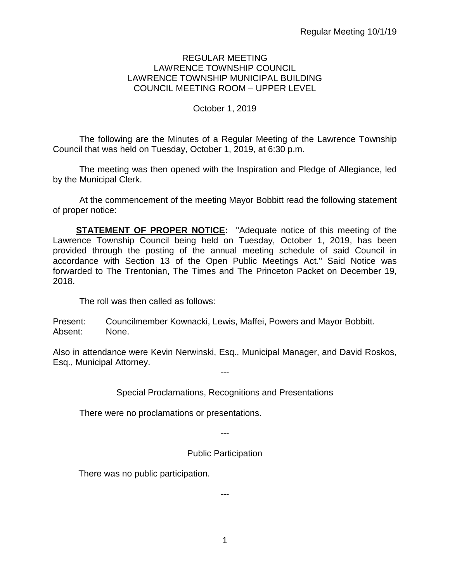## REGULAR MEETING LAWRENCE TOWNSHIP COUNCIL LAWRENCE TOWNSHIP MUNICIPAL BUILDING COUNCIL MEETING ROOM – UPPER LEVEL

## October 1, 2019

The following are the Minutes of a Regular Meeting of the Lawrence Township Council that was held on Tuesday, October 1, 2019, at 6:30 p.m.

The meeting was then opened with the Inspiration and Pledge of Allegiance, led by the Municipal Clerk.

At the commencement of the meeting Mayor Bobbitt read the following statement of proper notice:

**STATEMENT OF PROPER NOTICE:** "Adequate notice of this meeting of the Lawrence Township Council being held on Tuesday, October 1, 2019, has been provided through the posting of the annual meeting schedule of said Council in accordance with Section 13 of the Open Public Meetings Act." Said Notice was forwarded to The Trentonian, The Times and The Princeton Packet on December 19, 2018.

The roll was then called as follows:

Present: Councilmember Kownacki, Lewis, Maffei, Powers and Mayor Bobbitt. Absent: None.

Also in attendance were Kevin Nerwinski, Esq., Municipal Manager, and David Roskos, Esq., Municipal Attorney.

---

Special Proclamations, Recognitions and Presentations

There were no proclamations or presentations.

---

Public Participation

There was no public participation.

---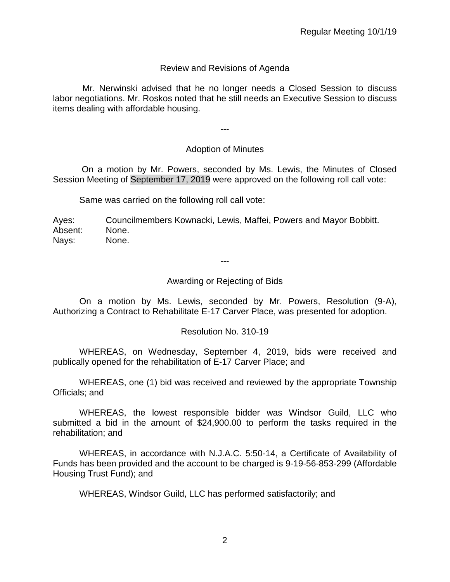# Review and Revisions of Agenda

 Mr. Nerwinski advised that he no longer needs a Closed Session to discuss labor negotiations. Mr. Roskos noted that he still needs an Executive Session to discuss items dealing with affordable housing.

---

# Adoption of Minutes

On a motion by Mr. Powers, seconded by Ms. Lewis, the Minutes of Closed Session Meeting of September 17, 2019 were approved on the following roll call vote:

Same was carried on the following roll call vote:

Ayes: Councilmembers Kownacki, Lewis, Maffei, Powers and Mayor Bobbitt. Absent: None. Nays: None.

---

## Awarding or Rejecting of Bids

On a motion by Ms. Lewis, seconded by Mr. Powers, Resolution (9-A), Authorizing a Contract to Rehabilitate E-17 Carver Place, was presented for adoption.

## Resolution No. 310-19

WHEREAS, on Wednesday, September 4, 2019, bids were received and publically opened for the rehabilitation of E-17 Carver Place; and

WHEREAS, one (1) bid was received and reviewed by the appropriate Township Officials; and

WHEREAS, the lowest responsible bidder was Windsor Guild, LLC who submitted a bid in the amount of \$24,900.00 to perform the tasks required in the rehabilitation; and

WHEREAS, in accordance with N.J.A.C. 5:50-14, a Certificate of Availability of Funds has been provided and the account to be charged is 9-19-56-853-299 (Affordable Housing Trust Fund); and

WHEREAS, Windsor Guild, LLC has performed satisfactorily; and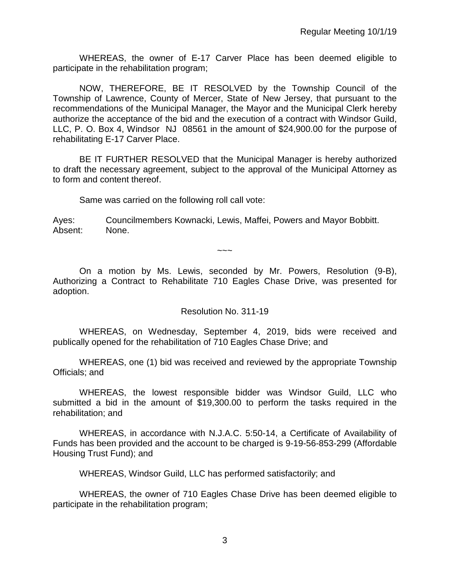WHEREAS, the owner of E-17 Carver Place has been deemed eligible to participate in the rehabilitation program;

NOW, THEREFORE, BE IT RESOLVED by the Township Council of the Township of Lawrence, County of Mercer, State of New Jersey, that pursuant to the recommendations of the Municipal Manager, the Mayor and the Municipal Clerk hereby authorize the acceptance of the bid and the execution of a contract with Windsor Guild, LLC, P. O. Box 4, Windsor NJ 08561 in the amount of \$24,900.00 for the purpose of rehabilitating E-17 Carver Place.

BE IT FURTHER RESOLVED that the Municipal Manager is hereby authorized to draft the necessary agreement, subject to the approval of the Municipal Attorney as to form and content thereof.

Same was carried on the following roll call vote:

Ayes: Councilmembers Kownacki, Lewis, Maffei, Powers and Mayor Bobbitt. Absent: None.

~~~

On a motion by Ms. Lewis, seconded by Mr. Powers, Resolution (9-B), Authorizing a Contract to Rehabilitate 710 Eagles Chase Drive, was presented for adoption.

## Resolution No. 311-19

WHEREAS, on Wednesday, September 4, 2019, bids were received and publically opened for the rehabilitation of 710 Eagles Chase Drive; and

WHEREAS, one (1) bid was received and reviewed by the appropriate Township Officials; and

WHEREAS, the lowest responsible bidder was Windsor Guild, LLC who submitted a bid in the amount of \$19,300.00 to perform the tasks required in the rehabilitation; and

WHEREAS, in accordance with N.J.A.C. 5:50-14, a Certificate of Availability of Funds has been provided and the account to be charged is 9-19-56-853-299 (Affordable Housing Trust Fund); and

WHEREAS, Windsor Guild, LLC has performed satisfactorily; and

WHEREAS, the owner of 710 Eagles Chase Drive has been deemed eligible to participate in the rehabilitation program;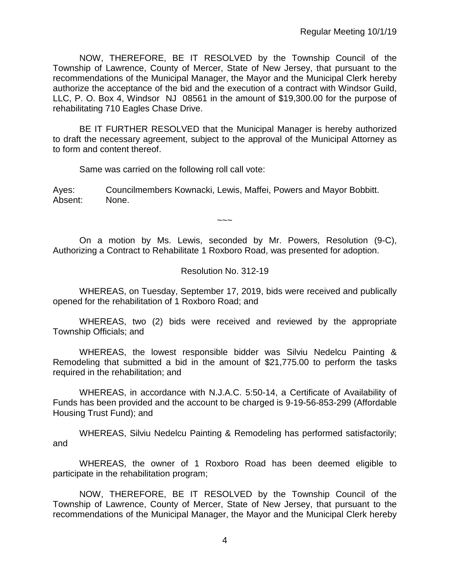NOW, THEREFORE, BE IT RESOLVED by the Township Council of the Township of Lawrence, County of Mercer, State of New Jersey, that pursuant to the recommendations of the Municipal Manager, the Mayor and the Municipal Clerk hereby authorize the acceptance of the bid and the execution of a contract with Windsor Guild, LLC, P. O. Box 4, Windsor NJ 08561 in the amount of \$19,300.00 for the purpose of rehabilitating 710 Eagles Chase Drive.

BE IT FURTHER RESOLVED that the Municipal Manager is hereby authorized to draft the necessary agreement, subject to the approval of the Municipal Attorney as to form and content thereof.

Same was carried on the following roll call vote:

Ayes: Councilmembers Kownacki, Lewis, Maffei, Powers and Mayor Bobbitt. Absent: None.

 $\sim\sim\sim$ 

On a motion by Ms. Lewis, seconded by Mr. Powers, Resolution (9-C), Authorizing a Contract to Rehabilitate 1 Roxboro Road, was presented for adoption.

## Resolution No. 312-19

WHEREAS, on Tuesday, September 17, 2019, bids were received and publically opened for the rehabilitation of 1 Roxboro Road; and

WHEREAS, two (2) bids were received and reviewed by the appropriate Township Officials; and

WHEREAS, the lowest responsible bidder was Silviu Nedelcu Painting & Remodeling that submitted a bid in the amount of \$21,775.00 to perform the tasks required in the rehabilitation; and

WHEREAS, in accordance with N.J.A.C. 5:50-14, a Certificate of Availability of Funds has been provided and the account to be charged is 9-19-56-853-299 (Affordable Housing Trust Fund); and

WHEREAS, Silviu Nedelcu Painting & Remodeling has performed satisfactorily; and

WHEREAS, the owner of 1 Roxboro Road has been deemed eligible to participate in the rehabilitation program;

NOW, THEREFORE, BE IT RESOLVED by the Township Council of the Township of Lawrence, County of Mercer, State of New Jersey, that pursuant to the recommendations of the Municipal Manager, the Mayor and the Municipal Clerk hereby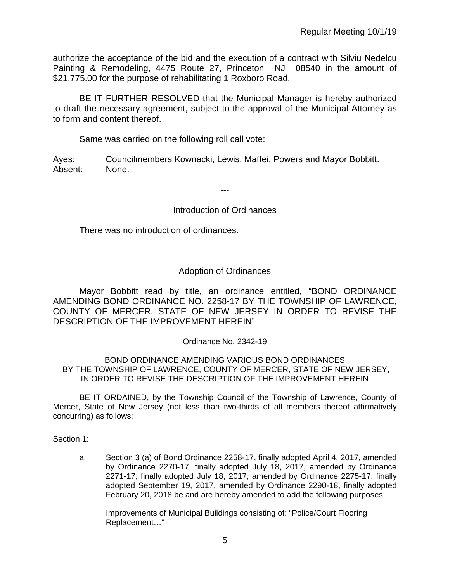authorize the acceptance of the bid and the execution of a contract with Silviu Nedelcu Painting & Remodeling, 4475 Route 27, Princeton NJ 08540 in the amount of \$21,775.00 for the purpose of rehabilitating 1 Roxboro Road.

BE IT FURTHER RESOLVED that the Municipal Manager is hereby authorized to draft the necessary agreement, subject to the approval of the Municipal Attorney as to form and content thereof.

Same was carried on the following roll call vote:

Ayes: Councilmembers Kownacki, Lewis, Maffei, Powers and Mayor Bobbitt. Absent: None.

---

## Introduction of Ordinances

There was no introduction of ordinances.

---

## Adoption of Ordinances

Mayor Bobbitt read by title, an ordinance entitled, "BOND ORDINANCE AMENDING BOND ORDINANCE NO. 2258-17 BY THE TOWNSHIP OF LAWRENCE, COUNTY OF MERCER, STATE OF NEW JERSEY IN ORDER TO REVISE THE DESCRIPTION OF THE IMPROVEMENT HEREIN"

Ordinance No. 2342-19

BOND ORDINANCE AMENDING VARIOUS BOND ORDINANCES BY THE TOWNSHIP OF LAWRENCE, COUNTY OF MERCER, STATE OF NEW JERSEY, IN ORDER TO REVISE THE DESCRIPTION OF THE IMPROVEMENT HEREIN

BE IT ORDAINED, by the Township Council of the Township of Lawrence, County of Mercer, State of New Jersey (not less than two-thirds of all members thereof affirmatively concurring) as follows:

### Section 1:

a. Section 3 (a) of Bond Ordinance 2258-17, finally adopted April 4, 2017, amended by Ordinance 2270-17, finally adopted July 18, 2017, amended by Ordinance 2271-17, finally adopted July 18, 2017, amended by Ordinance 2275-17, finally adopted September 19, 2017, amended by Ordinance 2290-18, finally adopted February 20, 2018 be and are hereby amended to add the following purposes:

Improvements of Municipal Buildings consisting of: "Police/Court Flooring Replacement…"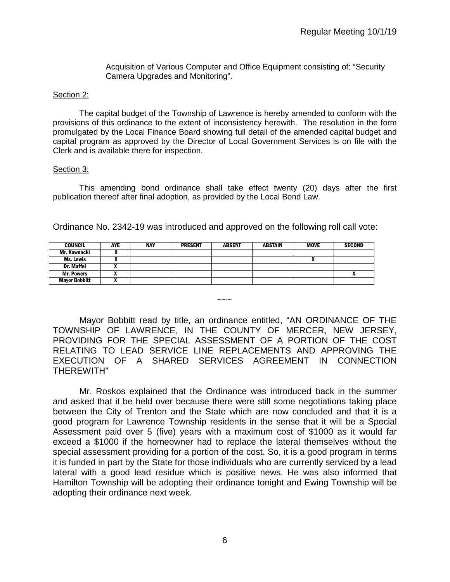Acquisition of Various Computer and Office Equipment consisting of: "Security Camera Upgrades and Monitoring".

#### Section 2:

The capital budget of the Township of Lawrence is hereby amended to conform with the provisions of this ordinance to the extent of inconsistency herewith. The resolution in the form promulgated by the Local Finance Board showing full detail of the amended capital budget and capital program as approved by the Director of Local Government Services is on file with the Clerk and is available there for inspection.

#### Section 3:

This amending bond ordinance shall take effect twenty (20) days after the first publication thereof after final adoption, as provided by the Local Bond Law.

| <b>COUNCIL</b>       | AYE | <b>NAY</b> | <b>PRESENT</b> | <b>ABSENT</b> | <b>ABSTAIN</b> | <b>MOVE</b> | <b>SECOND</b> |
|----------------------|-----|------------|----------------|---------------|----------------|-------------|---------------|
| Mr. Kownacki         |     |            |                |               |                |             |               |
| Ms. Lewis            | ,,  |            |                |               |                | n           |               |
| Dr. Maffei           |     |            |                |               |                |             |               |
| <b>Mr. Powers</b>    |     |            |                |               |                |             |               |
| <b>Mayor Bobbitt</b> |     |            |                |               |                |             |               |

Ordinance No. 2342-19 was introduced and approved on the following roll call vote:

Mayor Bobbitt read by title, an ordinance entitled, "AN ORDINANCE OF THE TOWNSHIP OF LAWRENCE, IN THE COUNTY OF MERCER, NEW JERSEY, PROVIDING FOR THE SPECIAL ASSESSMENT OF A PORTION OF THE COST RELATING TO LEAD SERVICE LINE REPLACEMENTS AND APPROVING THE EXECUTION OF A SHARED SERVICES AGREEMENT IN CONNECTION THEREWITH"

 $\sim\sim\sim$ 

Mr. Roskos explained that the Ordinance was introduced back in the summer and asked that it be held over because there were still some negotiations taking place between the City of Trenton and the State which are now concluded and that it is a good program for Lawrence Township residents in the sense that it will be a Special Assessment paid over 5 (five) years with a maximum cost of \$1000 as it would far exceed a \$1000 if the homeowner had to replace the lateral themselves without the special assessment providing for a portion of the cost. So, it is a good program in terms it is funded in part by the State for those individuals who are currently serviced by a lead lateral with a good lead residue which is positive news. He was also informed that Hamilton Township will be adopting their ordinance tonight and Ewing Township will be adopting their ordinance next week.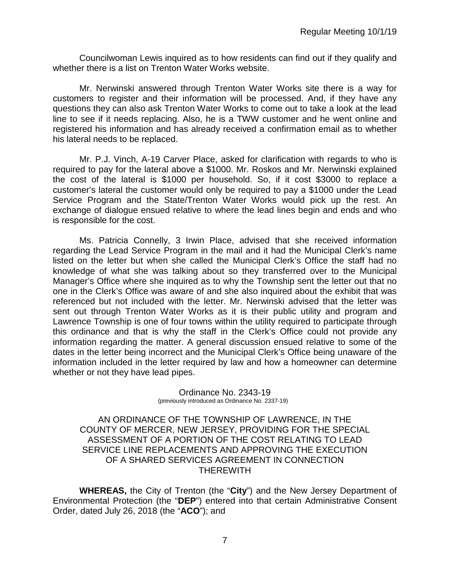Councilwoman Lewis inquired as to how residents can find out if they qualify and whether there is a list on Trenton Water Works website.

Mr. Nerwinski answered through Trenton Water Works site there is a way for customers to register and their information will be processed. And, if they have any questions they can also ask Trenton Water Works to come out to take a look at the lead line to see if it needs replacing. Also, he is a TWW customer and he went online and registered his information and has already received a confirmation email as to whether his lateral needs to be replaced.

Mr. P.J. Vinch, A-19 Carver Place, asked for clarification with regards to who is required to pay for the lateral above a \$1000. Mr. Roskos and Mr. Nerwinski explained the cost of the lateral is \$1000 per household. So, if it cost \$3000 to replace a customer's lateral the customer would only be required to pay a \$1000 under the Lead Service Program and the State/Trenton Water Works would pick up the rest. An exchange of dialogue ensued relative to where the lead lines begin and ends and who is responsible for the cost.

Ms. Patricia Connelly, 3 Irwin Place, advised that she received information regarding the Lead Service Program in the mail and it had the Municipal Clerk's name listed on the letter but when she called the Municipal Clerk's Office the staff had no knowledge of what she was talking about so they transferred over to the Municipal Manager's Office where she inquired as to why the Township sent the letter out that no one in the Clerk's Office was aware of and she also inquired about the exhibit that was referenced but not included with the letter. Mr. Nerwinski advised that the letter was sent out through Trenton Water Works as it is their public utility and program and Lawrence Township is one of four towns within the utility required to participate through this ordinance and that is why the staff in the Clerk's Office could not provide any information regarding the matter. A general discussion ensued relative to some of the dates in the letter being incorrect and the Municipal Clerk's Office being unaware of the information included in the letter required by law and how a homeowner can determine whether or not they have lead pipes.

Ordinance No. 2343-19 (previously introduced as Ordinance No. 2337-19)

AN ORDINANCE OF THE TOWNSHIP OF LAWRENCE, IN THE COUNTY OF MERCER, NEW JERSEY, PROVIDING FOR THE SPECIAL ASSESSMENT OF A PORTION OF THE COST RELATING TO LEAD SERVICE LINE REPLACEMENTS AND APPROVING THE EXECUTION OF A SHARED SERVICES AGREEMENT IN CONNECTION THEREWITH

**WHEREAS,** the City of Trenton (the "**City**") and the New Jersey Department of Environmental Protection (the "**DEP**") entered into that certain Administrative Consent Order, dated July 26, 2018 (the "**ACO**"); and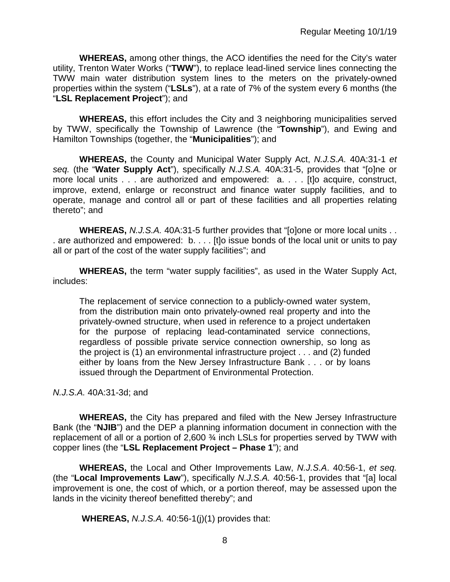**WHEREAS,** among other things, the ACO identifies the need for the City's water utility, Trenton Water Works ("**TWW**"), to replace lead-lined service lines connecting the TWW main water distribution system lines to the meters on the privately-owned properties within the system ("**LSLs**"), at a rate of 7% of the system every 6 months (the "**LSL Replacement Project**"); and

**WHEREAS,** this effort includes the City and 3 neighboring municipalities served by TWW, specifically the Township of Lawrence (the "**Township**"), and Ewing and Hamilton Townships (together, the "**Municipalities**"); and

**WHEREAS,** the County and Municipal Water Supply Act, *N.J.S.A.* 40A:31-1 *et seq.* (the "**Water Supply Act**"), specifically *N.J.S.A.* 40A:31-5, provides that "[o]ne or more local units . . . are authorized and empowered: a. . . . [t]o acquire, construct, improve, extend, enlarge or reconstruct and finance water supply facilities, and to operate, manage and control all or part of these facilities and all properties relating thereto"; and

**WHEREAS,** *N.J.S.A.* 40A:31-5 further provides that "[o]one or more local units . . . are authorized and empowered: b. . . . [t]o issue bonds of the local unit or units to pay all or part of the cost of the water supply facilities"; and

**WHEREAS,** the term "water supply facilities", as used in the Water Supply Act, includes:

The replacement of service connection to a publicly-owned water system, from the distribution main onto privately-owned real property and into the privately-owned structure, when used in reference to a project undertaken for the purpose of replacing lead-contaminated service connections, regardless of possible private service connection ownership, so long as the project is (1) an environmental infrastructure project . . . and (2) funded either by loans from the New Jersey Infrastructure Bank . . . or by loans issued through the Department of Environmental Protection.

*N.J.S.A.* 40A:31-3d; and

**WHEREAS,** the City has prepared and filed with the New Jersey Infrastructure Bank (the "**NJIB**") and the DEP a planning information document in connection with the replacement of all or a portion of 2,600  $\frac{3}{4}$  inch LSLs for properties served by TWW with copper lines (the "**LSL Replacement Project – Phase 1**"); and

**WHEREAS,** the Local and Other Improvements Law, *N.J.S.A*. 40:56-1, *et seq.*  (the "**Local Improvements Law**"), specifically *N.J.S.A.* 40:56-1, provides that "[a] local improvement is one, the cost of which, or a portion thereof, may be assessed upon the lands in the vicinity thereof benefitted thereby"; and

**WHEREAS,** *N.J.S.A.* 40:56-1(j)(1) provides that: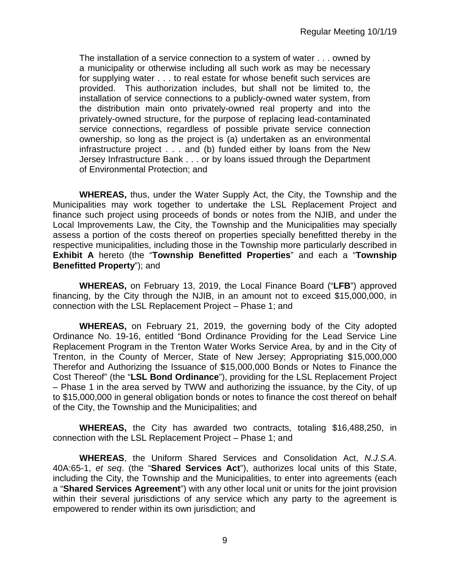The installation of a service connection to a system of water . . . owned by a municipality or otherwise including all such work as may be necessary for supplying water . . . to real estate for whose benefit such services are provided. This authorization includes, but shall not be limited to, the installation of service connections to a publicly-owned water system, from the distribution main onto privately-owned real property and into the privately-owned structure, for the purpose of replacing lead-contaminated service connections, regardless of possible private service connection ownership, so long as the project is (a) undertaken as an environmental infrastructure project . . . and (b) funded either by loans from the New Jersey Infrastructure Bank . . . or by loans issued through the Department of Environmental Protection; and

**WHEREAS,** thus, under the Water Supply Act, the City, the Township and the Municipalities may work together to undertake the LSL Replacement Project and finance such project using proceeds of bonds or notes from the NJIB, and under the Local Improvements Law, the City, the Township and the Municipalities may specially assess a portion of the costs thereof on properties specially benefitted thereby in the respective municipalities, including those in the Township more particularly described in **Exhibit A** hereto (the "**Township Benefitted Properties**" and each a "**Township Benefitted Property**"); and

**WHEREAS,** on February 13, 2019, the Local Finance Board ("**LFB**") approved financing, by the City through the NJIB, in an amount not to exceed \$15,000,000, in connection with the LSL Replacement Project – Phase 1; and

**WHEREAS,** on February 21, 2019, the governing body of the City adopted Ordinance No. 19-16, entitled "Bond Ordinance Providing for the Lead Service Line Replacement Program in the Trenton Water Works Service Area, by and in the City of Trenton, in the County of Mercer, State of New Jersey; Appropriating \$15,000,000 Therefor and Authorizing the Issuance of \$15,000,000 Bonds or Notes to Finance the Cost Thereof" (the "**LSL Bond Ordinance**"), providing for the LSL Replacement Project – Phase 1 in the area served by TWW and authorizing the issuance, by the City, of up to \$15,000,000 in general obligation bonds or notes to finance the cost thereof on behalf of the City, the Township and the Municipalities; and

**WHEREAS,** the City has awarded two contracts, totaling \$16,488,250, in connection with the LSL Replacement Project – Phase 1; and

**WHEREAS**, the Uniform Shared Services and Consolidation Act, *N.J.S.A*. 40A:65-1, *et seq*. (the "**Shared Services Act**"), authorizes local units of this State, including the City, the Township and the Municipalities, to enter into agreements (each a "**Shared Services Agreement**") with any other local unit or units for the joint provision within their several jurisdictions of any service which any party to the agreement is empowered to render within its own jurisdiction; and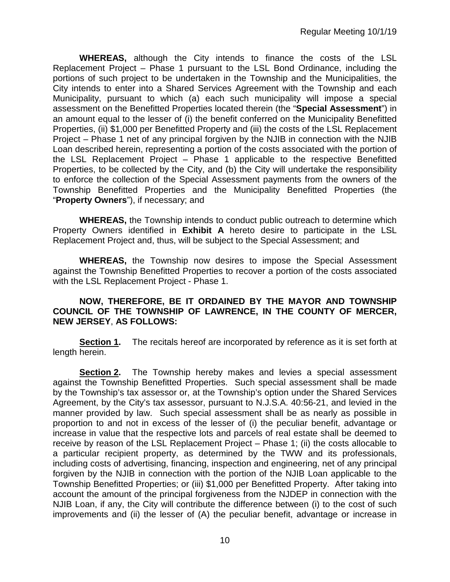**WHEREAS,** although the City intends to finance the costs of the LSL Replacement Project – Phase 1 pursuant to the LSL Bond Ordinance, including the portions of such project to be undertaken in the Township and the Municipalities, the City intends to enter into a Shared Services Agreement with the Township and each Municipality, pursuant to which (a) each such municipality will impose a special assessment on the Benefitted Properties located therein (the "**Special Assessment**") in an amount equal to the lesser of (i) the benefit conferred on the Municipality Benefitted Properties, (ii) \$1,000 per Benefitted Property and (iii) the costs of the LSL Replacement Project – Phase 1 net of any principal forgiven by the NJIB in connection with the NJIB Loan described herein, representing a portion of the costs associated with the portion of the LSL Replacement Project – Phase 1 applicable to the respective Benefitted Properties, to be collected by the City, and (b) the City will undertake the responsibility to enforce the collection of the Special Assessment payments from the owners of the Township Benefitted Properties and the Municipality Benefitted Properties (the "**Property Owners**"), if necessary; and

**WHEREAS,** the Township intends to conduct public outreach to determine which Property Owners identified in **Exhibit A** hereto desire to participate in the LSL Replacement Project and, thus, will be subject to the Special Assessment; and

**WHEREAS,** the Township now desires to impose the Special Assessment against the Township Benefitted Properties to recover a portion of the costs associated with the LSL Replacement Project - Phase 1.

## **NOW, THEREFORE, BE IT ORDAINED BY THE MAYOR AND TOWNSHIP COUNCIL OF THE TOWNSHIP OF LAWRENCE, IN THE COUNTY OF MERCER, NEW JERSEY**, **AS FOLLOWS:**

**Section 1.** The recitals hereof are incorporated by reference as it is set forth at length herein.

**Section 2.** The Township hereby makes and levies a special assessment against the Township Benefitted Properties. Such special assessment shall be made by the Township's tax assessor or, at the Township's option under the Shared Services Agreement, by the City's tax assessor, pursuant to N.J.S.A. 40:56-21, and levied in the manner provided by law. Such special assessment shall be as nearly as possible in proportion to and not in excess of the lesser of (i) the peculiar benefit, advantage or increase in value that the respective lots and parcels of real estate shall be deemed to receive by reason of the LSL Replacement Project – Phase 1; (ii) the costs allocable to a particular recipient property, as determined by the TWW and its professionals, including costs of advertising, financing, inspection and engineering, net of any principal forgiven by the NJIB in connection with the portion of the NJIB Loan applicable to the Township Benefitted Properties; or (iii) \$1,000 per Benefitted Property. After taking into account the amount of the principal forgiveness from the NJDEP in connection with the NJIB Loan, if any, the City will contribute the difference between (i) to the cost of such improvements and (ii) the lesser of (A) the peculiar benefit, advantage or increase in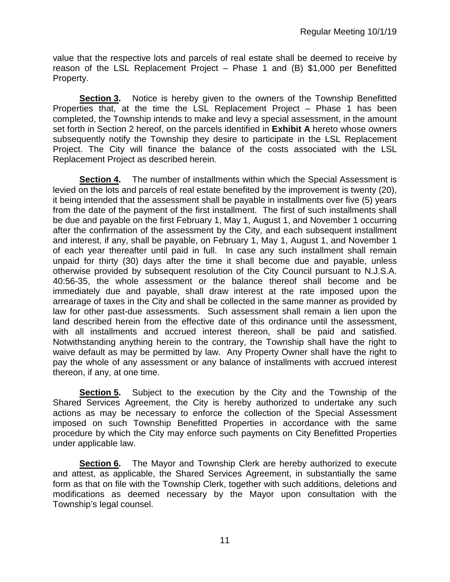value that the respective lots and parcels of real estate shall be deemed to receive by reason of the LSL Replacement Project – Phase 1 and (B) \$1,000 per Benefitted Property.

**Section 3.** Notice is hereby given to the owners of the Township Benefitted Properties that, at the time the LSL Replacement Project – Phase 1 has been completed, the Township intends to make and levy a special assessment, in the amount set forth in Section 2 hereof, on the parcels identified in **Exhibit A** hereto whose owners subsequently notify the Township they desire to participate in the LSL Replacement Project. The City will finance the balance of the costs associated with the LSL Replacement Project as described herein.

**Section 4.** The number of installments within which the Special Assessment is levied on the lots and parcels of real estate benefited by the improvement is twenty (20), it being intended that the assessment shall be payable in installments over five (5) years from the date of the payment of the first installment. The first of such installments shall be due and payable on the first February 1, May 1, August 1, and November 1 occurring after the confirmation of the assessment by the City, and each subsequent installment and interest, if any, shall be payable, on February 1, May 1, August 1, and November 1 of each year thereafter until paid in full. In case any such installment shall remain unpaid for thirty (30) days after the time it shall become due and payable, unless otherwise provided by subsequent resolution of the City Council pursuant to N.J.S.A. 40:56-35, the whole assessment or the balance thereof shall become and be immediately due and payable, shall draw interest at the rate imposed upon the arrearage of taxes in the City and shall be collected in the same manner as provided by law for other past-due assessments. Such assessment shall remain a lien upon the land described herein from the effective date of this ordinance until the assessment, with all installments and accrued interest thereon, shall be paid and satisfied. Notwithstanding anything herein to the contrary, the Township shall have the right to waive default as may be permitted by law. Any Property Owner shall have the right to pay the whole of any assessment or any balance of installments with accrued interest thereon, if any, at one time.

**Section 5.** Subject to the execution by the City and the Township of the Shared Services Agreement, the City is hereby authorized to undertake any such actions as may be necessary to enforce the collection of the Special Assessment imposed on such Township Benefitted Properties in accordance with the same procedure by which the City may enforce such payments on City Benefitted Properties under applicable law.

**Section 6.** The Mayor and Township Clerk are hereby authorized to execute and attest, as applicable, the Shared Services Agreement, in substantially the same form as that on file with the Township Clerk, together with such additions, deletions and modifications as deemed necessary by the Mayor upon consultation with the Township's legal counsel.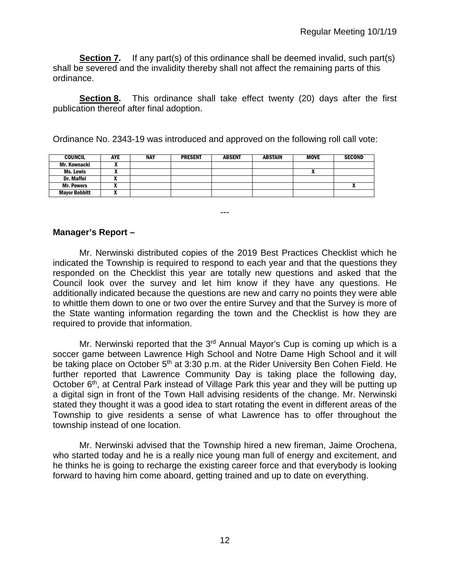**Section 7.** If any part(s) of this ordinance shall be deemed invalid, such part(s) shall be severed and the invalidity thereby shall not affect the remaining parts of this ordinance.

**Section 8.** This ordinance shall take effect twenty (20) days after the first publication thereof after final adoption.

Ordinance No. 2343-19 was introduced and approved on the following roll call vote:

| <b>COUNCIL</b>       | <b>AYE</b> | <b>NAY</b> | <b>PRESENT</b> | <b>ABSENT</b> | <b>ABSTAIN</b> | MOVE | <b>SECOND</b> |
|----------------------|------------|------------|----------------|---------------|----------------|------|---------------|
| Mr. Kownacki         |            |            |                |               |                |      |               |
| Ms. Lewis            |            |            |                |               |                |      |               |
| <b>Dr. Maffei</b>    |            |            |                |               |                |      |               |
| <b>Mr. Powers</b>    |            |            |                |               |                |      |               |
| <b>Mayor Bobbitt</b> |            |            |                |               |                |      |               |

## **Manager's Report –**

Mr. Nerwinski distributed copies of the 2019 Best Practices Checklist which he indicated the Township is required to respond to each year and that the questions they responded on the Checklist this year are totally new questions and asked that the Council look over the survey and let him know if they have any questions. He additionally indicated because the questions are new and carry no points they were able to whittle them down to one or two over the entire Survey and that the Survey is more of the State wanting information regarding the town and the Checklist is how they are required to provide that information.

---

Mr. Nerwinski reported that the  $3<sup>rd</sup>$  Annual Mayor's Cup is coming up which is a soccer game between Lawrence High School and Notre Dame High School and it will be taking place on October 5<sup>th</sup> at 3:30 p.m. at the Rider University Ben Cohen Field. He further reported that Lawrence Community Day is taking place the following day, October 6<sup>th</sup>, at Central Park instead of Village Park this year and they will be putting up a digital sign in front of the Town Hall advising residents of the change. Mr. Nerwinski stated they thought it was a good idea to start rotating the event in different areas of the Township to give residents a sense of what Lawrence has to offer throughout the township instead of one location.

Mr. Nerwinski advised that the Township hired a new fireman, Jaime Orochena, who started today and he is a really nice young man full of energy and excitement, and he thinks he is going to recharge the existing career force and that everybody is looking forward to having him come aboard, getting trained and up to date on everything.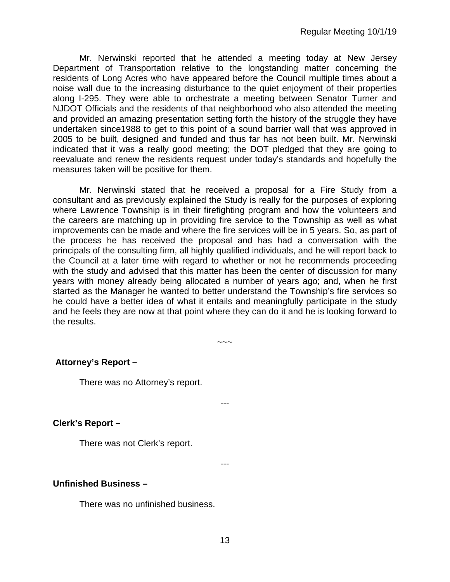Mr. Nerwinski reported that he attended a meeting today at New Jersey Department of Transportation relative to the longstanding matter concerning the residents of Long Acres who have appeared before the Council multiple times about a noise wall due to the increasing disturbance to the quiet enjoyment of their properties along I-295. They were able to orchestrate a meeting between Senator Turner and NJDOT Officials and the residents of that neighborhood who also attended the meeting and provided an amazing presentation setting forth the history of the struggle they have undertaken since1988 to get to this point of a sound barrier wall that was approved in 2005 to be built, designed and funded and thus far has not been built. Mr. Nerwinski indicated that it was a really good meeting; the DOT pledged that they are going to reevaluate and renew the residents request under today's standards and hopefully the measures taken will be positive for them.

Mr. Nerwinski stated that he received a proposal for a Fire Study from a consultant and as previously explained the Study is really for the purposes of exploring where Lawrence Township is in their firefighting program and how the volunteers and the careers are matching up in providing fire service to the Township as well as what improvements can be made and where the fire services will be in 5 years. So, as part of the process he has received the proposal and has had a conversation with the principals of the consulting firm, all highly qualified individuals, and he will report back to the Council at a later time with regard to whether or not he recommends proceeding with the study and advised that this matter has been the center of discussion for many years with money already being allocated a number of years ago; and, when he first started as the Manager he wanted to better understand the Township's fire services so he could have a better idea of what it entails and meaningfully participate in the study and he feels they are now at that point where they can do it and he is looking forward to the results.

~~~

### **Attorney's Report –**

There was no Attorney's report.

### **Clerk's Report –**

There was not Clerk's report.

---

---

### **Unfinished Business –**

There was no unfinished business.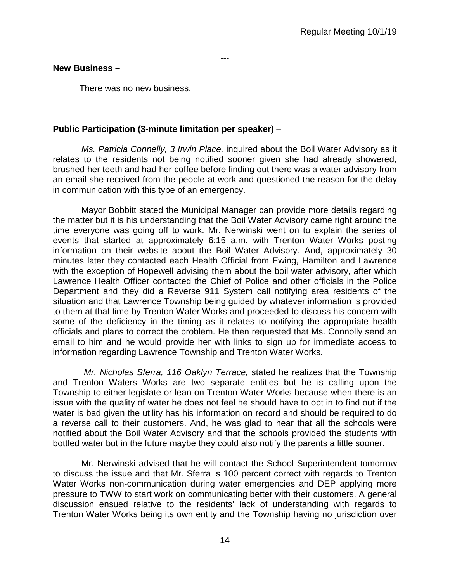## **New Business –**

There was no new business.

## **Public Participation (3-minute limitation per speaker)** –

*Ms. Patricia Connelly, 3 Irwin Place,* inquired about the Boil Water Advisory as it relates to the residents not being notified sooner given she had already showered, brushed her teeth and had her coffee before finding out there was a water advisory from an email she received from the people at work and questioned the reason for the delay in communication with this type of an emergency.

---

---

Mayor Bobbitt stated the Municipal Manager can provide more details regarding the matter but it is his understanding that the Boil Water Advisory came right around the time everyone was going off to work. Mr. Nerwinski went on to explain the series of events that started at approximately 6:15 a.m. with Trenton Water Works posting information on their website about the Boil Water Advisory. And, approximately 30 minutes later they contacted each Health Official from Ewing, Hamilton and Lawrence with the exception of Hopewell advising them about the boil water advisory, after which Lawrence Health Officer contacted the Chief of Police and other officials in the Police Department and they did a Reverse 911 System call notifying area residents of the situation and that Lawrence Township being guided by whatever information is provided to them at that time by Trenton Water Works and proceeded to discuss his concern with some of the deficiency in the timing as it relates to notifying the appropriate health officials and plans to correct the problem. He then requested that Ms. Connolly send an email to him and he would provide her with links to sign up for immediate access to information regarding Lawrence Township and Trenton Water Works.

*Mr. Nicholas Sferra, 116 Oaklyn Terrace,* stated he realizes that the Township and Trenton Waters Works are two separate entities but he is calling upon the Township to either legislate or lean on Trenton Water Works because when there is an issue with the quality of water he does not feel he should have to opt in to find out if the water is bad given the utility has his information on record and should be required to do a reverse call to their customers. And, he was glad to hear that all the schools were notified about the Boil Water Advisory and that the schools provided the students with bottled water but in the future maybe they could also notify the parents a little sooner.

Mr. Nerwinski advised that he will contact the School Superintendent tomorrow to discuss the issue and that Mr. Sferra is 100 percent correct with regards to Trenton Water Works non-communication during water emergencies and DEP applying more pressure to TWW to start work on communicating better with their customers. A general discussion ensued relative to the residents' lack of understanding with regards to Trenton Water Works being its own entity and the Township having no jurisdiction over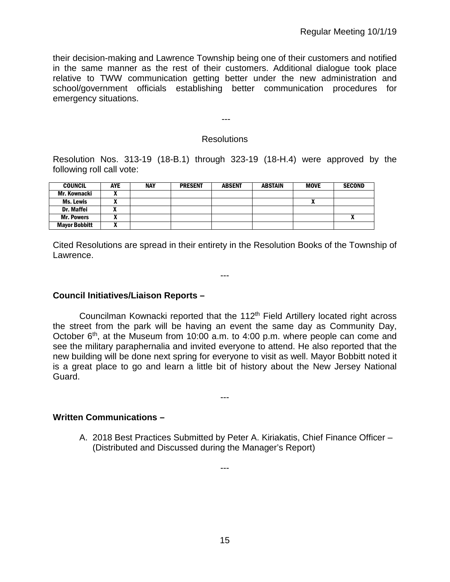their decision-making and Lawrence Township being one of their customers and notified in the same manner as the rest of their customers. Additional dialogue took place relative to TWW communication getting better under the new administration and school/government officials establishing better communication procedures for emergency situations.

## Resolutions

---

Resolution Nos. 313-19 (18-B.1) through 323-19 (18-H.4) were approved by the following roll call vote:

| <b>COUNCIL</b>       | <b>AYE</b> | <b>NAY</b> | <b>PRESENT</b> | <b>ABSENT</b> | <b>ABSTAIN</b> | <b>MOVE</b> | <b>SECOND</b> |
|----------------------|------------|------------|----------------|---------------|----------------|-------------|---------------|
| Mr. Kownacki         |            |            |                |               |                |             |               |
| <b>Ms. Lewis</b>     |            |            |                |               |                | n           |               |
| <b>Dr. Maffei</b>    |            |            |                |               |                |             |               |
| <b>Mr. Powers</b>    |            |            |                |               |                |             |               |
| <b>Mayor Bobbitt</b> |            |            |                |               |                |             |               |

Cited Resolutions are spread in their entirety in the Resolution Books of the Township of Lawrence.

---

**Council Initiatives/Liaison Reports –**

Councilman Kownacki reported that the 112<sup>th</sup> Field Artillery located right across the street from the park will be having an event the same day as Community Day, October  $6<sup>th</sup>$ , at the Museum from 10:00 a.m. to 4:00 p.m. where people can come and see the military paraphernalia and invited everyone to attend. He also reported that the new building will be done next spring for everyone to visit as well. Mayor Bobbitt noted it is a great place to go and learn a little bit of history about the New Jersey National Guard.

---

---

**Written Communications –**

A. 2018 Best Practices Submitted by Peter A. Kiriakatis, Chief Finance Officer – (Distributed and Discussed during the Manager's Report)